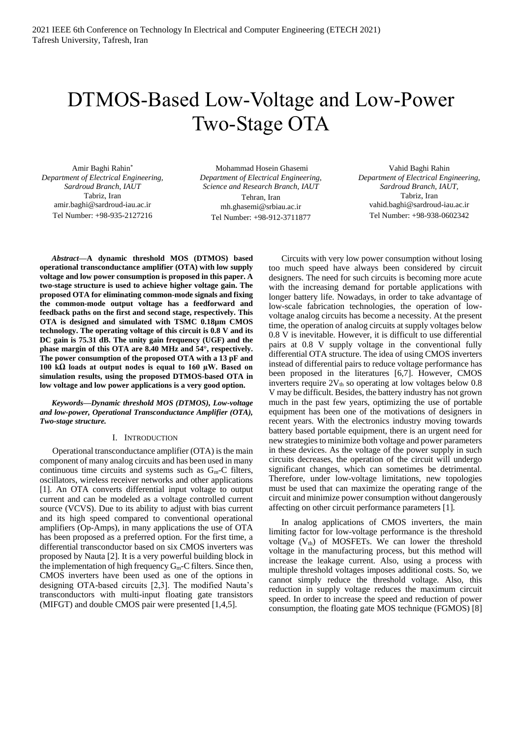# DTMOS-Based Low-Voltage and Low-Power Two-Stage OTA

Amir Baghi Rahin\* *Department of Electrical Engineering, Sardroud Branch, IAUT* Tabriz, Iran amir.baghi@sardroud-iau.ac.ir Tel Number: +98-935-2127216

Mohammad Hosein Ghasemi *Department of Electrical Engineering, Science and Research Branch, IAUT* Tehran, Iran mh.ghasemi@srbiau.ac.ir Tel Number: +98-912-3711877

Vahid Baghi Rahin *Department of Electrical Engineering, Sardroud Branch, IAUT,*  Tabriz, Iran vahid.baghi@sardroud-iau.ac.ir Tel Number: +98-938-0602342

*Abstract***—A dynamic threshold MOS (DTMOS) based operational transconductance amplifier (OTA) with low supply voltage and low power consumption is proposed in this paper. A two-stage structure is used to achieve higher voltage gain. The proposed OTA for eliminating common-mode signals and fixing the common-mode output voltage has a feedforward and feedback paths on the first and second stage, respectively. This OTA is designed and simulated with TSMC 0.18µm CMOS technology. The operating voltage of this circuit is 0.8 V and its DC gain is 75.31 dB. The unity gain frequency (UGF) and the phase margin of this OTA are 8.40 MHz and 54°, respectively. The power consumption of the proposed OTA with a 13 pF and 100 kΩ loads at output nodes is equal to 160 µW. Based on simulation results, using the proposed DTMOS-based OTA in low voltage and low power applications is a very good option.**

*Keywords—Dynamic threshold MOS (DTMOS), Low-voltage and low-power, Operational Transconductance Amplifier (OTA), Two-stage structure.*

## I. INTRODUCTION

Operational transconductance amplifier (OTA) is the main component of many analog circuits and has been used in many continuous time circuits and systems such as  $G<sub>m</sub>$ -C filters, oscillators, wireless receiver networks and other applications [1]. An OTA converts differential input voltage to output current and can be modeled as a voltage controlled current source (VCVS). Due to its ability to adjust with bias current and its high speed compared to conventional operational amplifiers (Op-Amps), in many applications the use of OTA has been proposed as a preferred option. For the first time, a differential transconductor based on six CMOS inverters was proposed by Nauta [2]. It is a very powerful building block in the implementation of high frequency  $G_m-C$  filters. Since then, CMOS inverters have been used as one of the options in designing OTA-based circuits [2,3]. The modified Nauta's transconductors with multi-input floating gate transistors (MIFGT) and double CMOS pair were presented [1,4,5].

Circuits with very low power consumption without losing too much speed have always been considered by circuit designers. The need for such circuits is becoming more acute with the increasing demand for portable applications with longer battery life. Nowadays, in order to take advantage of low-scale fabrication technologies, the operation of lowvoltage analog circuits has become a necessity. At the present time, the operation of analog circuits at supply voltages below 0.8 V is inevitable. However, it is difficult to use differential pairs at 0.8 V supply voltage in the conventional fully differential OTA structure. The idea of using CMOS inverters instead of differential pairs to reduce voltage performance has been proposed in the literatures [6,7]. However, CMOS inverters require  $2V_{th}$  so operating at low voltages below 0.8 V may be difficult. Besides, the battery industry has not grown much in the past few years, optimizing the use of portable equipment has been one of the motivations of designers in recent years. With the electronics industry moving towards battery based portable equipment, there is an urgent need for new strategies to minimize both voltage and power parameters in these devices. As the voltage of the power supply in such circuits decreases, the operation of the circuit will undergo significant changes, which can sometimes be detrimental. Therefore, under low-voltage limitations, new topologies must be used that can maximize the operating range of the circuit and minimize power consumption without dangerously affecting on other circuit performance parameters [1].

In analog applications of CMOS inverters, the main limiting factor for low-voltage performance is the threshold voltage  $(V<sub>th</sub>)$  of MOSFETs. We can lower the threshold voltage in the manufacturing process, but this method will increase the leakage current. Also, using a process with multiple threshold voltages imposes additional costs. So, we cannot simply reduce the threshold voltage. Also, this reduction in supply voltage reduces the maximum circuit speed. In order to increase the speed and reduction of power consumption, the floating gate MOS technique (FGMOS) [8]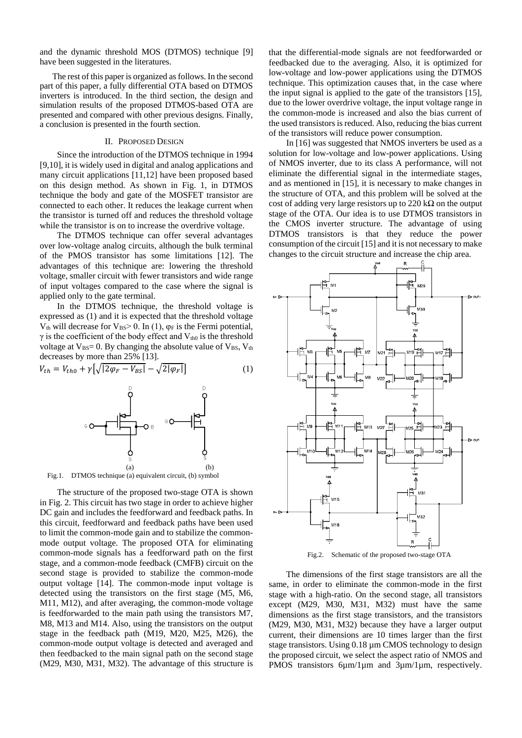and the dynamic threshold MOS (DTMOS) technique [9] have been suggested in the literatures.

The rest of this paper is organized as follows. In the second part of this paper, a fully differential OTA based on DTMOS inverters is introduced. In the third section, the design and simulation results of the proposed DTMOS-based OTA are presented and compared with other previous designs. Finally, a conclusion is presented in the fourth section.

#### II. PROPOSED DESIGN

Since the introduction of the DTMOS technique in 1994 [9,10], it is widely used in digital and analog applications and many circuit applications [11,12] have been proposed based on this design method. As shown in Fig. 1, in DTMOS technique the body and gate of the MOSFET transistor are connected to each other. It reduces the leakage current when the transistor is turned off and reduces the threshold voltage while the transistor is on to increase the overdrive voltage.

The DTMOS technique can offer several advantages over low-voltage analog circuits, although the bulk terminal of the PMOS transistor has some limitations [12]. The advantages of this technique are: lowering the threshold voltage, smaller circuit with fewer transistors and wide range of input voltages compared to the case where the signal is applied only to the gate terminal.

In the DTMOS technique, the threshold voltage is expressed as (1) and it is expected that the threshold voltage  $V_{th}$  will decrease for  $V_{BS} > 0$ . In (1),  $\varphi_F$  is the Fermi potential,  $\gamma$  is the coefficient of the body effect and  $V_{th0}$  is the threshold voltage at  $V_{BS} = 0$ . By changing the absolute value of  $V_{BS}$ ,  $V_{th}$ decreases by more than 25% [13].

$$
V_{th} = V_{th0} + \gamma \left[ \sqrt{|2\varphi_F - V_{BS}|} - \sqrt{2|\varphi_F|} \right] \tag{1}
$$



Fig.1. DTMOS technique (a) equivalent circuit, (b) symbol

The structure of the proposed two-stage OTA is shown in Fig. 2. This circuit has two stage in order to achieve higher DC gain and includes the feedforward and feedback paths. In this circuit, feedforward and feedback paths have been used to limit the common-mode gain and to stabilize the commonmode output voltage. The proposed OTA for eliminating common-mode signals has a feedforward path on the first stage, and a common-mode feedback (CMFB) circuit on the second stage is provided to stabilize the common-mode output voltage [14]. The common-mode input voltage is detected using the transistors on the first stage (M5, M6, M11, M12), and after averaging, the common-mode voltage is feedforwarded to the main path using the transistors M7, M8, M13 and M14. Also, using the transistors on the output stage in the feedback path (M19, M20, M25, M26), the common-mode output voltage is detected and averaged and then feedbacked to the main signal path on the second stage (M29, M30, M31, M32). The advantage of this structure is

that the differential-mode signals are not feedforwarded or feedbacked due to the averaging. Also, it is optimized for low-voltage and low-power applications using the DTMOS technique. This optimization causes that, in the case where the input signal is applied to the gate of the transistors [15], due to the lower overdrive voltage, the input voltage range in the common-mode is increased and also the bias current of the used transistors is reduced. Also, reducing the bias current of the transistors will reduce power consumption.

In [16] was suggested that NMOS inverters be used as a solution for low-voltage and low-power applications. Using of NMOS inverter, due to its class A performance, will not eliminate the differential signal in the intermediate stages, and as mentioned in [15], it is necessary to make changes in the structure of OTA, and this problem will be solved at the cost of adding very large resistors up to 220 k $\Omega$  on the output stage of the OTA. Our idea is to use DTMOS transistors in the CMOS inverter structure. The advantage of using DTMOS transistors is that they reduce the power consumption of the circuit [15] and it is not necessary to make changes to the circuit structure and increase the chip area.



Fig.2. Schematic of the proposed two-stage OTA

The dimensions of the first stage transistors are all the same, in order to eliminate the common-mode in the first stage with a high-ratio. On the second stage, all transistors except (M29, M30, M31, M32) must have the same dimensions as the first stage transistors, and the transistors (M29, M30, M31, M32) because they have a larger output current, their dimensions are 10 times larger than the first stage transistors. Using 0.18  $\mu$ m CMOS technology to design the proposed circuit, we select the aspect ratio of NMOS and PMOS transistors 6µm/1µm and 3µm/1µm, respectively.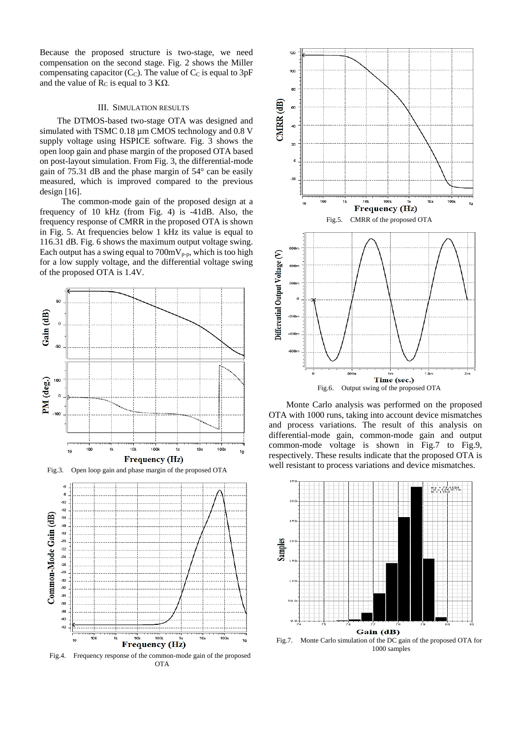Because the proposed structure is two-stage, we need compensation on the second stage. Fig. 2 shows the Miller compensating capacitor  $(C_C)$ . The value of  $C_C$  is equal to 3pF and the value of  $R_C$  is equal to 3 K $\Omega$ .

## III. SIMULATION RESULTS

The DTMOS-based two-stage OTA was designed and simulated with TSMC 0.18  $\mu$ m CMOS technology and 0.8 V supply voltage using HSPICE software. Fig. 3 shows the open loop gain and phase margin of the proposed OTA based on post-layout simulation. From Fig. 3, the differential-mode gain of 75.31 dB and the phase margin of 54° can be easily measured, which is improved compared to the previous design [16].

 The common-mode gain of the proposed design at a frequency of 10 kHz (from Fig. 4) is -41dB. Also, the frequency response of CMRR in the proposed OTA is shown in Fig. 5. At frequencies below 1 kHz its value is equal to 116.31 dB. Fig. 6 shows the maximum output voltage swing. Each output has a swing equal to  $700 \text{mV}_{p-p}$ , which is too high for a low supply voltage, and the differential voltage swing of the proposed OTA is 1.4V.



Fig.3. Open loop gain and phase margin of the proposed OTA



Fig.4. Frequency response of the common-mode gain of the proposed OTA



Monte Carlo analysis was performed on the proposed OTA with 1000 runs, taking into account device mismatches and process variations. The result of this analysis on differential-mode gain, common-mode gain and output common-mode voltage is shown in Fig.7 to Fig.9, respectively. These results indicate that the proposed OTA is well resistant to process variations and device mismatches.



Fig.7. Monte Carlo simulation of the DC gain of the proposed OTA for 1000 samples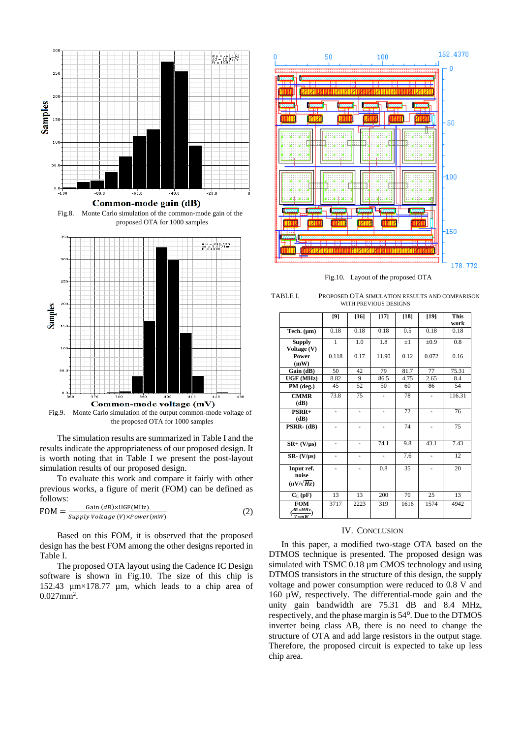

Fig.9. Monte Carlo simulation of the output common-mode voltage of the proposed OTA for 1000 samples

The simulation results are summarized in Table I and the results indicate the appropriateness of our proposed design. It is worth noting that in Table I we present the post-layout simulation results of our proposed design.

To evaluate this work and compare it fairly with other previous works, a figure of merit (FOM) can be defined as follows:

$$
FOM = \frac{Gain (dB) \times UGF(MHz)}{Supply Voltage (V) \times Power(mW)} \tag{2}
$$

Based on this FOM, it is observed that the proposed design has the best FOM among the other designs reported in Table I.

The proposed OTA layout using the Cadence IC Design software is shown in Fig.10. The size of this chip is 152.43 µm×178.77 µm, which leads to a chip area of  $0.027$ mm<sup>2</sup>.



Fig.10. Layout of the proposed OTA

| TABLE L | PROPOSED OTA SIMULATION RESULTS AND COMPARISON |
|---------|------------------------------------------------|
|         | WITH PREVIOUS DESIGNS                          |

|                                                         | [9]                 | $[16]$ | $[17]$ | $[18]$  | $[19]$                   | <b>This</b><br>work |
|---------------------------------------------------------|---------------------|--------|--------|---------|--------------------------|---------------------|
| Tech. $(\mu m)$                                         | 0.18                | 0.18   | 0.18   | 0.5     | 0.18                     | 0.18                |
| <b>Supply</b>                                           | 1                   | 1.0    | 1.8    | $\pm 1$ | $\pm 0.9$                | 0.8                 |
| Voltage (V)                                             |                     |        |        |         |                          |                     |
| Power<br>(mW)                                           | 0.118               | 0.17   | 11.90  | 0.12    | 0.072                    | 0.16                |
| Gain (dB)                                               | 50                  | 42     | 79     | 81.7    | 77                       | 75.31               |
| UGF (MHz)                                               | 8.82                | 9      | 86.5   | 4.75    | 2.65                     | 8.4                 |
| PM (deg.)                                               | 45                  | 52     | 50     | 60      | 86                       | 54                  |
| <b>CMMR</b><br>(dB)                                     | 73.8                | 75     |        | 78      | ۰                        | 116.31              |
| $PSRR+$<br>(dB)                                         |                     |        |        | 72      |                          | 76                  |
| PSRR-(dB)                                               | ä,                  | -      | ä,     | 74      | $\overline{\phantom{0}}$ | 75                  |
| $SR+ (V/\mu s)$                                         | $\bar{\phantom{a}}$ | Ξ.     | 74.1   | 9.8     | 43.1                     | 7.43                |
| $SR - (V/\mu s)$                                        | ä,                  | ä,     | ÷,     | 7.6     | $\overline{\phantom{a}}$ | 12                  |
| Input ref.<br>noise<br>$(nV/\sqrt{Hz})$                 |                     |        | 0.8    | 35      |                          | 20                  |
| $C_{L}$ (pF)                                            | 13                  | 13     | 200    | 70      | 25                       | 13                  |
| <b>FOM</b><br>$dB\times MHz$<br>$\frac{V \times mW}{V}$ | 3717                | 2223   | 319    | 1616    | 1574                     | 4942                |

#### IV. CONCLUSION

In this paper, a modified two-stage OTA based on the DTMOS technique is presented. The proposed design was simulated with TSMC 0.18  $\mu$ m CMOS technology and using DTMOS transistors in the structure of this design, the supply voltage and power consumption were reduced to 0.8 V and 160 µW, respectively. The differential-mode gain and the unity gain bandwidth are 75.31 dB and 8.4 MHz, respectively, and the phase margin is  $54^{\circ}$ . Due to the DTMOS inverter being class AB, there is no need to change the structure of OTA and add large resistors in the output stage. Therefore, the proposed circuit is expected to take up less chip area.